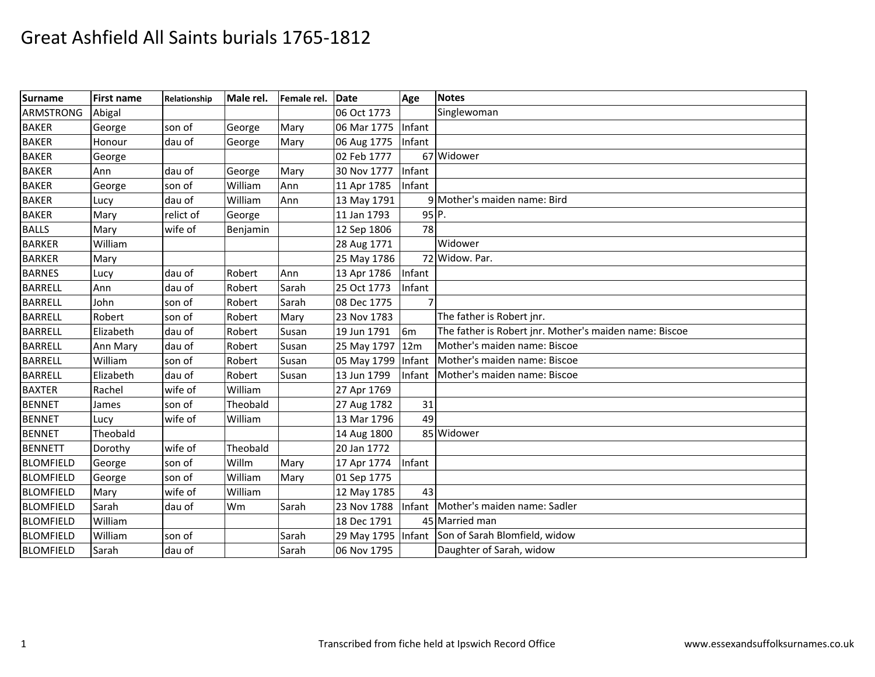| <b>Surname</b>   | <b>First name</b> | Relationship | Male rel. | Female rel. | Date               | Age             | <b>Notes</b>                                           |
|------------------|-------------------|--------------|-----------|-------------|--------------------|-----------------|--------------------------------------------------------|
| <b>ARMSTRONG</b> | Abigal            |              |           |             | 06 Oct 1773        |                 | Singlewoman                                            |
| <b>BAKER</b>     | George            | son of       | George    | Mary        | 06 Mar 1775 Infant |                 |                                                        |
| <b>BAKER</b>     | Honour            | dau of       | George    | Mary        | 06 Aug 1775 Infant |                 |                                                        |
| <b>BAKER</b>     | George            |              |           |             | 02 Feb 1777        |                 | 67 Widower                                             |
| <b>BAKER</b>     | Ann               | dau of       | George    | Mary        | 30 Nov 1777        | Infant          |                                                        |
| <b>BAKER</b>     | George            | son of       | William   | Ann         | 11 Apr 1785        | Infant          |                                                        |
| <b>BAKER</b>     | Lucy              | dau of       | William   | Ann         | 13 May 1791        |                 | 9 Mother's maiden name: Bird                           |
| <b>BAKER</b>     | Mary              | relict of    | George    |             | 11 Jan 1793        | $95$ P.         |                                                        |
| <b>BALLS</b>     | Mary              | wife of      | Benjamin  |             | 12 Sep 1806        | 78              |                                                        |
| <b>BARKER</b>    | William           |              |           |             | 28 Aug 1771        |                 | Widower                                                |
| <b>BARKER</b>    | Mary              |              |           |             | 25 May 1786        |                 | 72 Widow. Par.                                         |
| <b>BARNES</b>    | Lucy              | dau of       | Robert    | Ann         | 13 Apr 1786        | Infant          |                                                        |
| <b>BARRELL</b>   | Ann               | dau of       | Robert    | Sarah       | 25 Oct 1773        | Infant          |                                                        |
| <b>BARRELL</b>   | John              | son of       | Robert    | Sarah       | 08 Dec 1775        | 7               |                                                        |
| <b>BARRELL</b>   | Robert            | son of       | Robert    | Mary        | 23 Nov 1783        |                 | The father is Robert jnr.                              |
| <b>BARRELL</b>   | Elizabeth         | dau of       | Robert    | Susan       | 19 Jun 1791        | 6 <sub>m</sub>  | The father is Robert jnr. Mother's maiden name: Biscoe |
| <b>BARRELL</b>   | Ann Mary          | dau of       | Robert    | Susan       | 25 May 1797 12m    |                 | Mother's maiden name: Biscoe                           |
| <b>BARRELL</b>   | William           | son of       | Robert    | Susan       | 05 May 1799        | Infant          | Mother's maiden name: Biscoe                           |
| <b>BARRELL</b>   | Elizabeth         | dau of       | Robert    | Susan       | 13 Jun 1799        | Infant          | Mother's maiden name: Biscoe                           |
| <b>BAXTER</b>    | Rachel            | wife of      | William   |             | 27 Apr 1769        |                 |                                                        |
| <b>BENNET</b>    | James             | son of       | Theobald  |             | 27 Aug 1782        | 31              |                                                        |
| <b>BENNET</b>    | Lucy              | wife of      | William   |             | 13 Mar 1796        | 49              |                                                        |
| <b>BENNET</b>    | Theobald          |              |           |             | 14 Aug 1800        |                 | 85 Widower                                             |
| <b>BENNETT</b>   | Dorothy           | wife of      | Theobald  |             | 20 Jan 1772        |                 |                                                        |
| <b>BLOMFIELD</b> | George            | son of       | Willm     | Mary        | 17 Apr 1774        | Infant          |                                                        |
| <b>BLOMFIELD</b> | George            | son of       | William   | Mary        | 01 Sep 1775        |                 |                                                        |
| <b>BLOMFIELD</b> | Mary              | wife of      | William   |             | 12 May 1785        | 43 <sup>1</sup> |                                                        |
| <b>BLOMFIELD</b> | Sarah             | dau of       | Wm        | Sarah       | 23 Nov 1788        | Infant          | Mother's maiden name: Sadler                           |
| <b>BLOMFIELD</b> | William           |              |           |             | 18 Dec 1791        |                 | 45 Married man                                         |
| <b>BLOMFIELD</b> | William           | son of       |           | Sarah       |                    |                 | 29 May 1795   Infant Son of Sarah Blomfield, widow     |
| <b>BLOMFIELD</b> | Sarah             | dau of       |           | Sarah       | 06 Nov 1795        |                 | Daughter of Sarah, widow                               |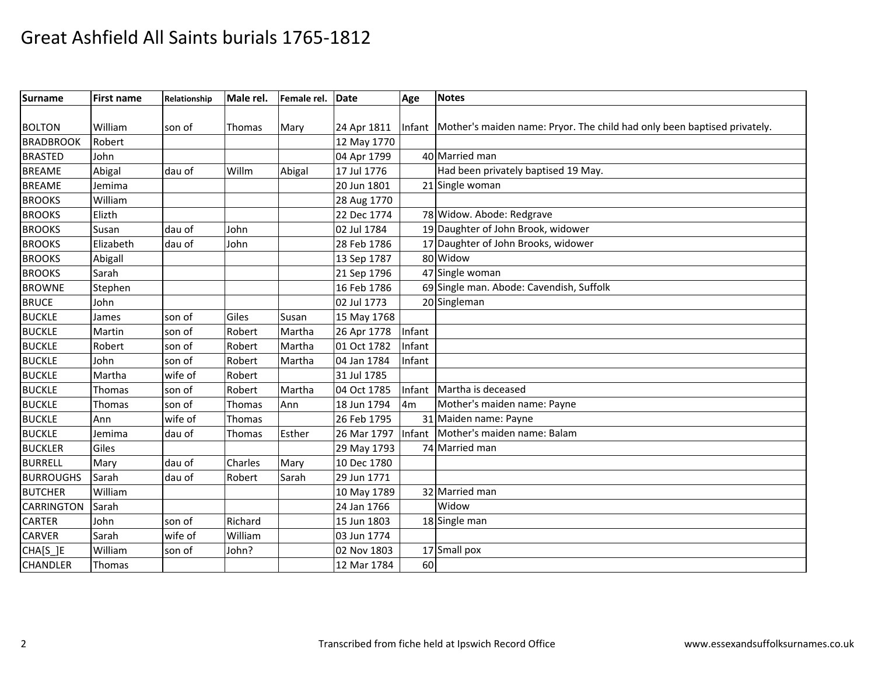| <b>Surname</b>    | <b>First name</b> | Relationship | Male rel. | Female rel. | Date        | Age            | <b>Notes</b>                                                                    |
|-------------------|-------------------|--------------|-----------|-------------|-------------|----------------|---------------------------------------------------------------------------------|
|                   |                   |              |           |             |             |                |                                                                                 |
| <b>BOLTON</b>     | William           | son of       | Thomas    | Mary        | 24 Apr 1811 |                | Infant Mother's maiden name: Pryor. The child had only been baptised privately. |
| <b>BRADBROOK</b>  | Robert            |              |           |             | 12 May 1770 |                |                                                                                 |
| <b>BRASTED</b>    | John              |              |           |             | 04 Apr 1799 |                | 40 Married man                                                                  |
| <b>BREAME</b>     | Abigal            | dau of       | Willm     | Abigal      | 17 Jul 1776 |                | Had been privately baptised 19 May.                                             |
| <b>BREAME</b>     | Jemima            |              |           |             | 20 Jun 1801 |                | 21 Single woman                                                                 |
| <b>BROOKS</b>     | William           |              |           |             | 28 Aug 1770 |                |                                                                                 |
| <b>BROOKS</b>     | Elizth            |              |           |             | 22 Dec 1774 |                | 78 Widow. Abode: Redgrave                                                       |
| <b>BROOKS</b>     | Susan             | dau of       | John      |             | 02 Jul 1784 |                | 19 Daughter of John Brook, widower                                              |
| <b>BROOKS</b>     | Elizabeth         | dau of       | John      |             | 28 Feb 1786 |                | 17 Daughter of John Brooks, widower                                             |
| <b>BROOKS</b>     | Abigall           |              |           |             | 13 Sep 1787 |                | 80 Widow                                                                        |
| <b>BROOKS</b>     | Sarah             |              |           |             | 21 Sep 1796 |                | 47 Single woman                                                                 |
| <b>BROWNE</b>     | Stephen           |              |           |             | 16 Feb 1786 |                | 69 Single man. Abode: Cavendish, Suffolk                                        |
| <b>BRUCE</b>      | John              |              |           |             | 02 Jul 1773 |                | 20 Singleman                                                                    |
| <b>BUCKLE</b>     | James             | son of       | Giles     | Susan       | 15 May 1768 |                |                                                                                 |
| <b>BUCKLE</b>     | Martin            | son of       | Robert    | Martha      | 26 Apr 1778 | Infant         |                                                                                 |
| <b>BUCKLE</b>     | Robert            | son of       | Robert    | Martha      | 01 Oct 1782 | Infant         |                                                                                 |
| <b>BUCKLE</b>     | John              | son of       | Robert    | Martha      | 04 Jan 1784 | Infant         |                                                                                 |
| <b>BUCKLE</b>     | Martha            | wife of      | Robert    |             | 31 Jul 1785 |                |                                                                                 |
| <b>BUCKLE</b>     | Thomas            | son of       | Robert    | Martha      | 04 Oct 1785 | Infant         | Martha is deceased                                                              |
| <b>BUCKLE</b>     | Thomas            | son of       | Thomas    | Ann         | 18 Jun 1794 | 4 <sub>m</sub> | Mother's maiden name: Payne                                                     |
| <b>BUCKLE</b>     | Ann               | wife of      | Thomas    |             | 26 Feb 1795 |                | 31 Maiden name: Payne                                                           |
| <b>BUCKLE</b>     | Jemima            | dau of       | Thomas    | Esther      | 26 Mar 1797 | Infant         | Mother's maiden name: Balam                                                     |
| <b>BUCKLER</b>    | Giles             |              |           |             | 29 May 1793 |                | 74 Married man                                                                  |
| <b>BURRELL</b>    | Mary              | dau of       | Charles   | Mary        | 10 Dec 1780 |                |                                                                                 |
| <b>BURROUGHS</b>  | Sarah             | dau of       | Robert    | Sarah       | 29 Jun 1771 |                |                                                                                 |
| <b>BUTCHER</b>    | William           |              |           |             | 10 May 1789 |                | 32 Married man                                                                  |
| <b>CARRINGTON</b> | Sarah             |              |           |             | 24 Jan 1766 |                | Widow                                                                           |
| <b>CARTER</b>     | John              | son of       | Richard   |             | 15 Jun 1803 |                | 18 Single man                                                                   |
| <b>CARVER</b>     | Sarah             | wife of      | William   |             | 03 Jun 1774 |                |                                                                                 |
| CHA[S_]E          | William           | son of       | John?     |             | 02 Nov 1803 |                | 17 Small pox                                                                    |
| <b>CHANDLER</b>   | Thomas            |              |           |             | 12 Mar 1784 | 60             |                                                                                 |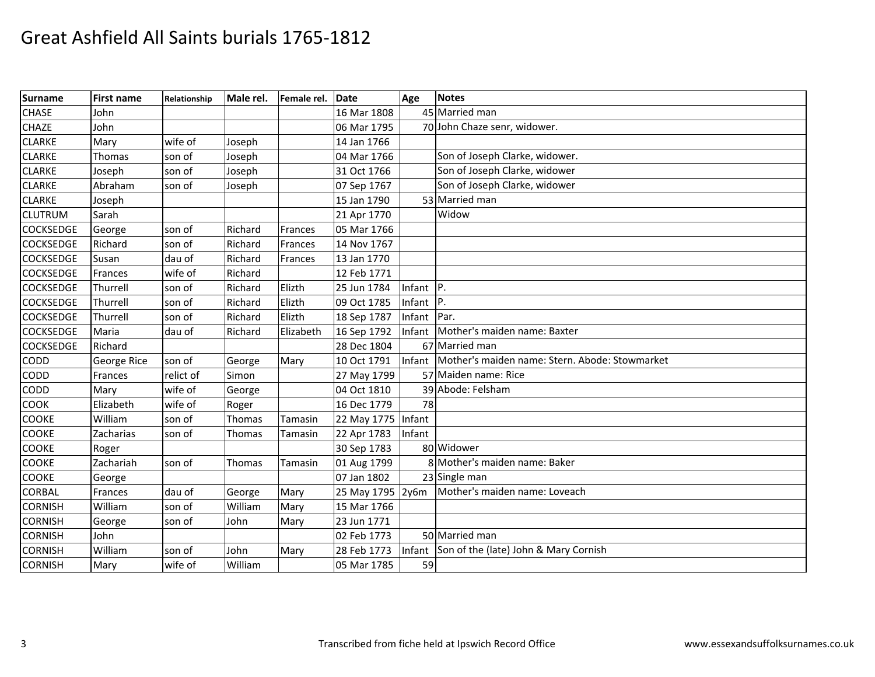| <b>Surname</b>   | <b>First name</b> | Relationship | Male rel. | Female rel.    | <b>IDate</b>       | Age    | <b>Notes</b>                                   |
|------------------|-------------------|--------------|-----------|----------------|--------------------|--------|------------------------------------------------|
| <b>CHASE</b>     | John              |              |           |                | 16 Mar 1808        |        | 45 Married man                                 |
| <b>CHAZE</b>     | John              |              |           |                | 06 Mar 1795        |        | 70 John Chaze senr, widower.                   |
| <b>CLARKE</b>    | Mary              | wife of      | Joseph    |                | 14 Jan 1766        |        |                                                |
| <b>CLARKE</b>    | Thomas            | son of       | Joseph    |                | 04 Mar 1766        |        | Son of Joseph Clarke, widower.                 |
| <b>CLARKE</b>    | Joseph            | son of       | Joseph    |                | 31 Oct 1766        |        | Son of Joseph Clarke, widower                  |
| <b>CLARKE</b>    | Abraham           | son of       | Joseph    |                | 07 Sep 1767        |        | Son of Joseph Clarke, widower                  |
| <b>CLARKE</b>    | Joseph            |              |           |                | 15 Jan 1790        |        | 53 Married man                                 |
| <b>CLUTRUM</b>   | Sarah             |              |           |                | 21 Apr 1770        |        | Widow                                          |
| <b>COCKSEDGE</b> | George            | son of       | Richard   | Frances        | 05 Mar 1766        |        |                                                |
| <b>COCKSEDGE</b> | Richard           | son of       | Richard   | Frances        | 14 Nov 1767        |        |                                                |
| <b>COCKSEDGE</b> | Susan             | dau of       | Richard   | Frances        | 13 Jan 1770        |        |                                                |
| <b>COCKSEDGE</b> | Frances           | wife of      | Richard   |                | 12 Feb 1771        |        |                                                |
| <b>COCKSEDGE</b> | Thurrell          | son of       | Richard   | Elizth         | 25 Jun 1784        | Infant | $ P_{1} $                                      |
| <b>COCKSEDGE</b> | Thurrell          | son of       | Richard   | Elizth         | 09 Oct 1785        | Infant | $ P_{1} $                                      |
| <b>COCKSEDGE</b> | Thurrell          | son of       | Richard   | Elizth         | 18 Sep 1787        | Infant | Par.                                           |
| <b>COCKSEDGE</b> | Maria             | dau of       | Richard   | Elizabeth      | 16 Sep 1792        | Infant | Mother's maiden name: Baxter                   |
| <b>COCKSEDGE</b> | Richard           |              |           |                | 28 Dec 1804        |        | 67 Married man                                 |
| <b>CODD</b>      | George Rice       | son of       | George    | Mary           | 10 Oct 1791        | Infant | Mother's maiden name: Stern. Abode: Stowmarket |
| CODD             | Frances           | relict of    | Simon     |                | 27 May 1799        |        | 57 Maiden name: Rice                           |
| <b>CODD</b>      | Mary              | wife of      | George    |                | 04 Oct 1810        |        | 39 Abode: Felsham                              |
| <b>COOK</b>      | Elizabeth         | wife of      | Roger     |                | 16 Dec 1779        | 78     |                                                |
| <b>COOKE</b>     | William           | son of       | Thomas    | <b>Tamasin</b> | 22 May 1775 Infant |        |                                                |
| <b>COOKE</b>     | Zacharias         | son of       | Thomas    | Tamasin        | 22 Apr 1783        | Infant |                                                |
| <b>COOKE</b>     | Roger             |              |           |                | 30 Sep 1783        |        | 80 Widower                                     |
| <b>COOKE</b>     | Zachariah         | son of       | Thomas    | Tamasin        | 01 Aug 1799        |        | 8 Mother's maiden name: Baker                  |
| <b>COOKE</b>     | George            |              |           |                | 07 Jan 1802        |        | 23 Single man                                  |
| <b>CORBAL</b>    | Frances           | dau of       | George    | Mary           | 25 May 1795 2y6m   |        | Mother's maiden name: Loveach                  |
| <b>CORNISH</b>   | William           | son of       | William   | Mary           | 15 Mar 1766        |        |                                                |
| <b>CORNISH</b>   | George            | son of       | John      | Mary           | 23 Jun 1771        |        |                                                |
| <b>CORNISH</b>   | John              |              |           |                | 02 Feb 1773        |        | 50 Married man                                 |
| <b>CORNISH</b>   | William           | son of       | John      | Mary           | 28 Feb 1773        |        | Infant Son of the (late) John & Mary Cornish   |
| <b>CORNISH</b>   | Mary              | wife of      | William   |                | 05 Mar 1785        | 59     |                                                |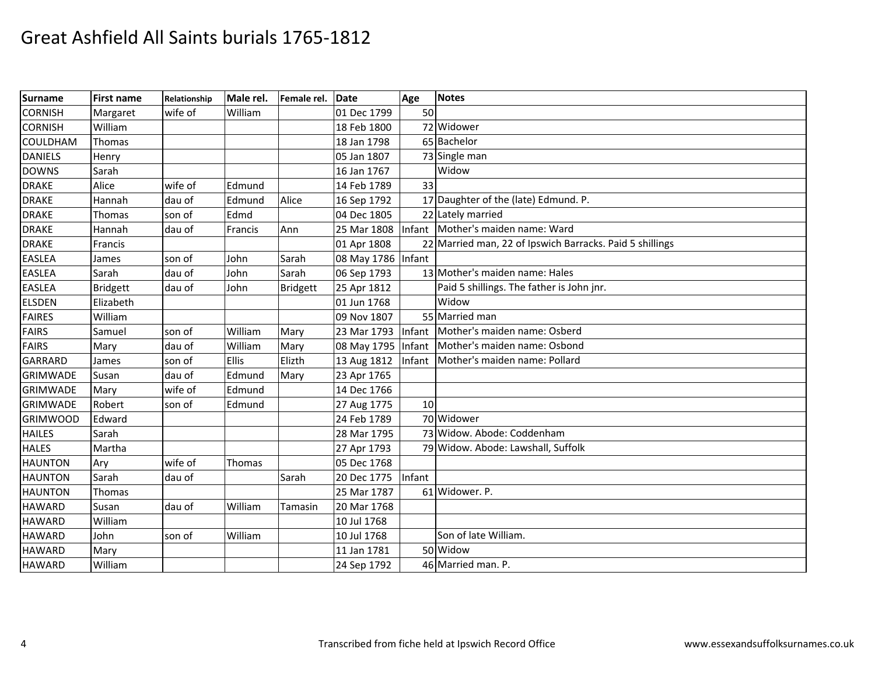| Surname         | <b>First name</b> | Relationship | Male rel.    | Female rel.     | Date               | Age    | <b>Notes</b>                                             |
|-----------------|-------------------|--------------|--------------|-----------------|--------------------|--------|----------------------------------------------------------|
| <b>CORNISH</b>  | Margaret          | wife of      | William      |                 | 01 Dec 1799        | 50     |                                                          |
| <b>CORNISH</b>  | William           |              |              |                 | 18 Feb 1800        |        | 72 Widower                                               |
| <b>COULDHAM</b> | Thomas            |              |              |                 | 18 Jan 1798        |        | 65 Bachelor                                              |
| <b>DANIELS</b>  | Henry             |              |              |                 | 05 Jan 1807        |        | 73 Single man                                            |
| <b>DOWNS</b>    | Sarah             |              |              |                 | 16 Jan 1767        |        | Widow                                                    |
| <b>DRAKE</b>    | Alice             | wife of      | Edmund       |                 | 14 Feb 1789        | 33     |                                                          |
| <b>DRAKE</b>    | Hannah            | dau of       | Edmund       | Alice           | 16 Sep 1792        |        | 17 Daughter of the (late) Edmund. P.                     |
| <b>DRAKE</b>    | Thomas            | son of       | Edmd         |                 | 04 Dec 1805        |        | 22 Lately married                                        |
| <b>DRAKE</b>    | Hannah            | dau of       | Francis      | Ann             | 25 Mar 1808        |        | Infant Mother's maiden name: Ward                        |
| <b>DRAKE</b>    | Francis           |              |              |                 | 01 Apr 1808        |        | 22 Married man, 22 of Ipswich Barracks. Paid 5 shillings |
| <b>EASLEA</b>   | James             | son of       | John         | Sarah           | 08 May 1786 Infant |        |                                                          |
| <b>EASLEA</b>   | Sarah             | dau of       | John         | Sarah           | 06 Sep 1793        |        | 13 Mother's maiden name: Hales                           |
| <b>EASLEA</b>   | <b>Bridgett</b>   | dau of       | John         | <b>Bridgett</b> | 25 Apr 1812        |        | Paid 5 shillings. The father is John jnr.                |
| <b>ELSDEN</b>   | Elizabeth         |              |              |                 | 01 Jun 1768        |        | Widow                                                    |
| <b>FAIRES</b>   | William           |              |              |                 | 09 Nov 1807        |        | 55 Married man                                           |
| <b>FAIRS</b>    | Samuel            | son of       | William      | Mary            | 23 Mar 1793        | Infant | Mother's maiden name: Osberd                             |
| <b>FAIRS</b>    | Mary              | dau of       | William      | Mary            | 08 May 1795 Infant |        | Mother's maiden name: Osbond                             |
| <b>GARRARD</b>  | James             | son of       | <b>Ellis</b> | Elizth          | 13 Aug 1812        | Infant | Mother's maiden name: Pollard                            |
| <b>GRIMWADE</b> | Susan             | dau of       | Edmund       | Mary            | 23 Apr 1765        |        |                                                          |
| <b>GRIMWADE</b> | Mary              | wife of      | Edmund       |                 | 14 Dec 1766        |        |                                                          |
| <b>GRIMWADE</b> | Robert            | son of       | Edmund       |                 | 27 Aug 1775        | 10     |                                                          |
| <b>GRIMWOOD</b> | Edward            |              |              |                 | 24 Feb 1789        |        | 70 Widower                                               |
| <b>HAILES</b>   | Sarah             |              |              |                 | 28 Mar 1795        |        | 73 Widow. Abode: Coddenham                               |
| <b>HALES</b>    | Martha            |              |              |                 | 27 Apr 1793        |        | 79 Widow. Abode: Lawshall, Suffolk                       |
| <b>HAUNTON</b>  | Ary               | wife of      | Thomas       |                 | 05 Dec 1768        |        |                                                          |
| <b>HAUNTON</b>  | Sarah             | dau of       |              | Sarah           | 20 Dec 1775        | Infant |                                                          |
| <b>HAUNTON</b>  | Thomas            |              |              |                 | 25 Mar 1787        |        | 61 Widower. P.                                           |
| <b>HAWARD</b>   | Susan             | dau of       | William      | <b>Tamasin</b>  | 20 Mar 1768        |        |                                                          |
| <b>HAWARD</b>   | William           |              |              |                 | 10 Jul 1768        |        |                                                          |
| <b>HAWARD</b>   | John              | son of       | William      |                 | 10 Jul 1768        |        | Son of late William.                                     |
| <b>HAWARD</b>   | Mary              |              |              |                 | 11 Jan 1781        |        | 50 Widow                                                 |
| <b>HAWARD</b>   | William           |              |              |                 | 24 Sep 1792        |        | 46 Married man. P.                                       |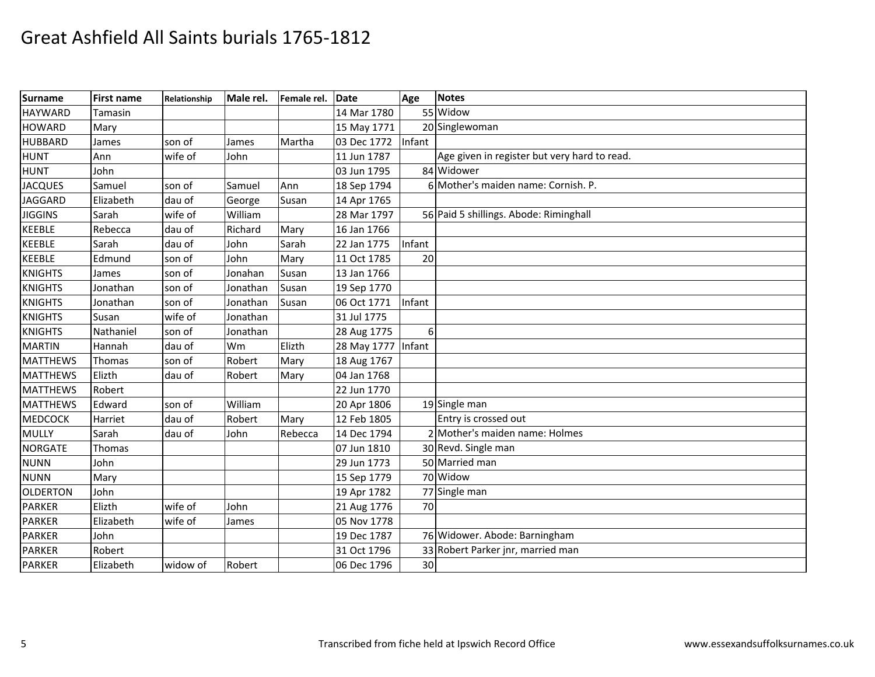| <b>Surname</b>  | <b>First name</b> | Relationship | Male rel. | Female rel. | Date               | Age    | <b>Notes</b>                                 |
|-----------------|-------------------|--------------|-----------|-------------|--------------------|--------|----------------------------------------------|
| <b>HAYWARD</b>  | Tamasin           |              |           |             | 14 Mar 1780        |        | 55 Widow                                     |
| <b>HOWARD</b>   | Mary              |              |           |             | 15 May 1771        |        | 20 Singlewoman                               |
| <b>HUBBARD</b>  | James             | son of       | James     | Martha      | 03 Dec 1772 Infant |        |                                              |
| <b>HUNT</b>     | Ann               | wife of      | John      |             | 11 Jun 1787        |        | Age given in register but very hard to read. |
| <b>HUNT</b>     | John              |              |           |             | 03 Jun 1795        |        | 84 Widower                                   |
| <b>JACQUES</b>  | Samuel            | son of       | Samuel    | Ann         | 18 Sep 1794        |        | 6 Mother's maiden name: Cornish. P.          |
| <b>JAGGARD</b>  | Elizabeth         | dau of       | George    | Susan       | 14 Apr 1765        |        |                                              |
| <b>JIGGINS</b>  | Sarah             | wife of      | William   |             | 28 Mar 1797        |        | 56 Paid 5 shillings. Abode: Riminghall       |
| <b>KEEBLE</b>   | Rebecca           | dau of       | Richard   | Mary        | 16 Jan 1766        |        |                                              |
| <b>KEEBLE</b>   | Sarah             | dau of       | John      | Sarah       | 22 Jan 1775        | Infant |                                              |
| <b>KEEBLE</b>   | Edmund            | son of       | John      | Mary        | 11 Oct 1785        | 20     |                                              |
| <b>KNIGHTS</b>  | James             | son of       | Jonahan   | Susan       | 13 Jan 1766        |        |                                              |
| <b>KNIGHTS</b>  | Jonathan          | son of       | Jonathan  | Susan       | 19 Sep 1770        |        |                                              |
| <b>KNIGHTS</b>  | Jonathan          | son of       | Jonathan  | Susan       | 06 Oct 1771        | Infant |                                              |
| <b>KNIGHTS</b>  | Susan             | wife of      | Jonathan  |             | 31 Jul 1775        |        |                                              |
| <b>KNIGHTS</b>  | Nathaniel         | son of       | Jonathan  |             | 28 Aug 1775        | 6      |                                              |
| <b>MARTIN</b>   | Hannah            | dau of       | Wm        | Elizth      | 28 May 1777 Infant |        |                                              |
| <b>MATTHEWS</b> | Thomas            | son of       | Robert    | Mary        | 18 Aug 1767        |        |                                              |
| <b>MATTHEWS</b> | Elizth            | dau of       | Robert    | Mary        | 04 Jan 1768        |        |                                              |
| <b>MATTHEWS</b> | Robert            |              |           |             | 22 Jun 1770        |        |                                              |
| <b>MATTHEWS</b> | Edward            | son of       | William   |             | 20 Apr 1806        |        | 19 Single man                                |
| <b>MEDCOCK</b>  | Harriet           | dau of       | Robert    | Mary        | 12 Feb 1805        |        | Entry is crossed out                         |
| <b>MULLY</b>    | Sarah             | dau of       | John      | Rebecca     | 14 Dec 1794        |        | 2 Mother's maiden name: Holmes               |
| <b>NORGATE</b>  | Thomas            |              |           |             | 07 Jun 1810        |        | 30 Revd. Single man                          |
| <b>NUNN</b>     | John              |              |           |             | 29 Jun 1773        |        | 50 Married man                               |
| <b>NUNN</b>     | Mary              |              |           |             | 15 Sep 1779        |        | 70 Widow                                     |
| <b>OLDERTON</b> | John              |              |           |             | 19 Apr 1782        |        | 77 Single man                                |
| <b>PARKER</b>   | Elizth            | wife of      | John      |             | 21 Aug 1776        | 70     |                                              |
| <b>PARKER</b>   | Elizabeth         | wife of      | James     |             | 05 Nov 1778        |        |                                              |
| <b>PARKER</b>   | John              |              |           |             | 19 Dec 1787        |        | 76 Widower. Abode: Barningham                |
| <b>PARKER</b>   | Robert            |              |           |             | 31 Oct 1796        |        | 33 Robert Parker jnr, married man            |
| <b>PARKER</b>   | Elizabeth         | widow of     | Robert    |             | 06 Dec 1796        | 30     |                                              |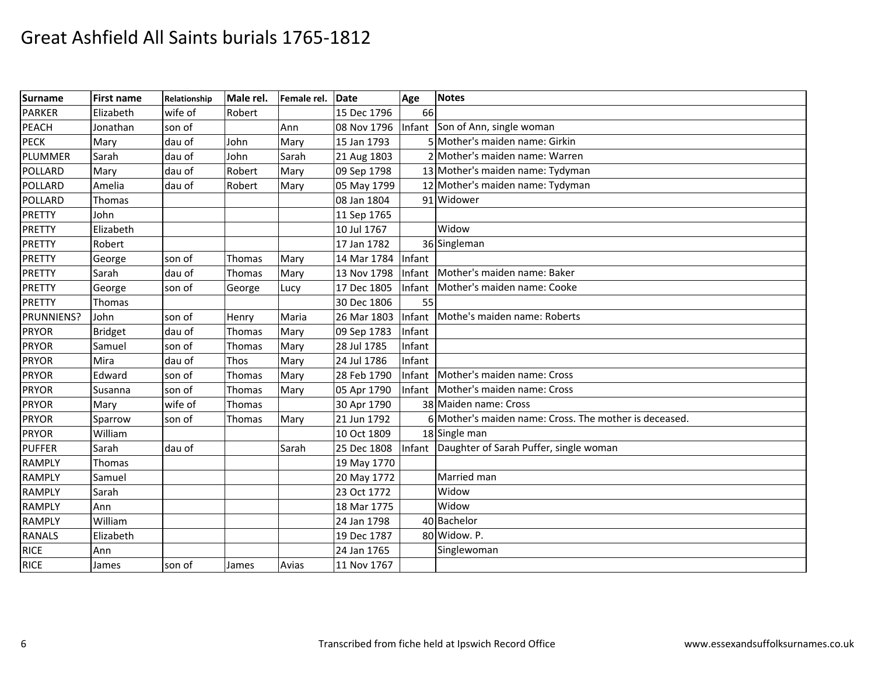| <b>Surname</b> | <b>First name</b> | Relationship | Male rel. | Female rel. | Date        | Age    | <b>Notes</b>                                           |
|----------------|-------------------|--------------|-----------|-------------|-------------|--------|--------------------------------------------------------|
| <b>PARKER</b>  | Elizabeth         | wife of      | Robert    |             | 15 Dec 1796 | 66     |                                                        |
| <b>PEACH</b>   | Jonathan          | son of       |           | Ann         | 08 Nov 1796 | Infant | Son of Ann, single woman                               |
| <b>PECK</b>    | Mary              | dau of       | John      | Mary        | 15 Jan 1793 |        | 5 Mother's maiden name: Girkin                         |
| PLUMMER        | Sarah             | dau of       | John      | Sarah       | 21 Aug 1803 |        | 2 Mother's maiden name: Warren                         |
| POLLARD        | Mary              | dau of       | Robert    | Mary        | 09 Sep 1798 |        | 13 Mother's maiden name: Tydyman                       |
| POLLARD        | Amelia            | dau of       | Robert    | Mary        | 05 May 1799 |        | 12 Mother's maiden name: Tydyman                       |
| POLLARD        | Thomas            |              |           |             | 08 Jan 1804 |        | 91 Widower                                             |
| <b>PRETTY</b>  | John              |              |           |             | 11 Sep 1765 |        |                                                        |
| <b>PRETTY</b>  | Elizabeth         |              |           |             | 10 Jul 1767 |        | Widow                                                  |
| <b>PRETTY</b>  | Robert            |              |           |             | 17 Jan 1782 |        | 36 Singleman                                           |
| <b>PRETTY</b>  | George            | son of       | Thomas    | Mary        | 14 Mar 1784 | Infant |                                                        |
| <b>PRETTY</b>  | Sarah             | dau of       | Thomas    | Mary        | 13 Nov 1798 | Infant | Mother's maiden name: Baker                            |
| <b>PRETTY</b>  | George            | son of       | George    | Lucy        | 17 Dec 1805 | Infant | Mother's maiden name: Cooke                            |
| <b>PRETTY</b>  | Thomas            |              |           |             | 30 Dec 1806 | 55     |                                                        |
| PRUNNIENS?     | John              | son of       | Henry     | Maria       | 26 Mar 1803 | Infant | Mothe's maiden name: Roberts                           |
| <b>PRYOR</b>   | <b>Bridget</b>    | dau of       | Thomas    | Mary        | 09 Sep 1783 | Infant |                                                        |
| <b>PRYOR</b>   | Samuel            | son of       | Thomas    | Mary        | 28 Jul 1785 | Infant |                                                        |
| <b>PRYOR</b>   | Mira              | dau of       | Thos      | Mary        | 24 Jul 1786 | Infant |                                                        |
| <b>PRYOR</b>   | Edward            | son of       | Thomas    | Mary        | 28 Feb 1790 | Infant | Mother's maiden name: Cross                            |
| <b>PRYOR</b>   | Susanna           | son of       | Thomas    | Mary        | 05 Apr 1790 | Infant | Mother's maiden name: Cross                            |
| <b>PRYOR</b>   | Mary              | wife of      | Thomas    |             | 30 Apr 1790 |        | 38 Maiden name: Cross                                  |
| <b>PRYOR</b>   | Sparrow           | son of       | Thomas    | Mary        | 21 Jun 1792 |        | 6 Mother's maiden name: Cross. The mother is deceased. |
| <b>PRYOR</b>   | William           |              |           |             | 10 Oct 1809 |        | 18 Single man                                          |
| <b>PUFFER</b>  | Sarah             | dau of       |           | Sarah       | 25 Dec 1808 |        | Infant Daughter of Sarah Puffer, single woman          |
| <b>RAMPLY</b>  | Thomas            |              |           |             | 19 May 1770 |        |                                                        |
| <b>RAMPLY</b>  | Samuel            |              |           |             | 20 May 1772 |        | Married man                                            |
| <b>RAMPLY</b>  | Sarah             |              |           |             | 23 Oct 1772 |        | Widow                                                  |
| <b>RAMPLY</b>  | Ann               |              |           |             | 18 Mar 1775 |        | Widow                                                  |
| <b>RAMPLY</b>  | William           |              |           |             | 24 Jan 1798 |        | 40 Bachelor                                            |
| <b>RANALS</b>  | Elizabeth         |              |           |             | 19 Dec 1787 |        | 80 Widow. P.                                           |
| <b>RICE</b>    | Ann               |              |           |             | 24 Jan 1765 |        | Singlewoman                                            |
| <b>RICE</b>    | James             | son of       | James     | Avias       | 11 Nov 1767 |        |                                                        |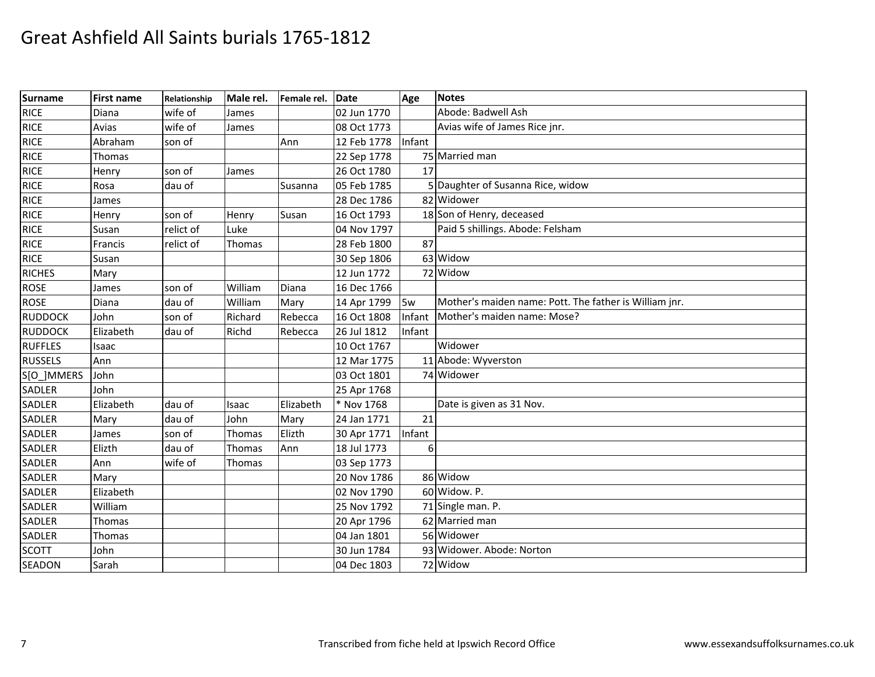| <b>Surname</b> | <b>First name</b> | Relationship | Male rel. | Female rel. | Date               | Age    | Notes                                                  |
|----------------|-------------------|--------------|-----------|-------------|--------------------|--------|--------------------------------------------------------|
| RICE           | Diana             | wife of      | James     |             | 02 Jun 1770        |        | Abode: Badwell Ash                                     |
| <b>RICE</b>    | Avias             | wife of      | James     |             | 08 Oct 1773        |        | Avias wife of James Rice jnr.                          |
| <b>RICE</b>    | Abraham           | son of       |           | Ann         | 12 Feb 1778 Infant |        |                                                        |
| RICE           | Thomas            |              |           |             | 22 Sep 1778        |        | 75 Married man                                         |
| RICE           | Henry             | son of       | James     |             | 26 Oct 1780        | 17     |                                                        |
| <b>RICE</b>    | Rosa              | dau of       |           | Susanna     | 05 Feb 1785        |        | 5 Daughter of Susanna Rice, widow                      |
| <b>RICE</b>    | James             |              |           |             | 28 Dec 1786        |        | 82 Widower                                             |
| <b>RICE</b>    | Henry             | son of       | Henry     | Susan       | 16 Oct 1793        |        | 18 Son of Henry, deceased                              |
| <b>RICE</b>    | Susan             | relict of    | Luke      |             | 04 Nov 1797        |        | Paid 5 shillings. Abode: Felsham                       |
| <b>RICE</b>    | Francis           | relict of    | Thomas    |             | 28 Feb 1800        | 87     |                                                        |
| <b>RICE</b>    | Susan             |              |           |             | 30 Sep 1806        |        | 63 Widow                                               |
| <b>RICHES</b>  | Mary              |              |           |             | 12 Jun 1772        |        | 72 Widow                                               |
| <b>ROSE</b>    | James             | son of       | William   | Diana       | 16 Dec 1766        |        |                                                        |
| <b>ROSE</b>    | Diana             | dau of       | William   | Mary        | 14 Apr 1799        | 15w    | Mother's maiden name: Pott. The father is William jnr. |
| <b>RUDDOCK</b> | John              | son of       | Richard   | Rebecca     | 16 Oct 1808        | Infant | Mother's maiden name: Mose?                            |
| <b>RUDDOCK</b> | Elizabeth         | dau of       | Richd     | Rebecca     | 26 Jul 1812        | Infant |                                                        |
| <b>RUFFLES</b> | Isaac             |              |           |             | 10 Oct 1767        |        | Widower                                                |
| <b>RUSSELS</b> | Ann               |              |           |             | 12 Mar 1775        |        | 11 Abode: Wyverston                                    |
| S[O_]MMERS     | John              |              |           |             | 03 Oct 1801        |        | 74 Widower                                             |
| SADLER         | John              |              |           |             | 25 Apr 1768        |        |                                                        |
| SADLER         | Elizabeth         | dau of       | Isaac     | Elizabeth   | * Nov 1768         |        | Date is given as 31 Nov.                               |
| SADLER         | Mary              | dau of       | John      | Mary        | 24 Jan 1771        | 21     |                                                        |
| SADLER         | James             | son of       | Thomas    | Elizth      | 30 Apr 1771        | Infant |                                                        |
| SADLER         | Elizth            | dau of       | Thomas    | Ann         | 18 Jul 1773        | 6      |                                                        |
| <b>SADLER</b>  | Ann               | wife of      | Thomas    |             | 03 Sep 1773        |        |                                                        |
| SADLER         | Mary              |              |           |             | 20 Nov 1786        |        | 86 Widow                                               |
| SADLER         | Elizabeth         |              |           |             | 02 Nov 1790        |        | 60 Widow. P.                                           |
| SADLER         | William           |              |           |             | 25 Nov 1792        |        | 71 Single man. P.                                      |
| <b>SADLER</b>  | Thomas            |              |           |             | 20 Apr 1796        |        | $\overline{62}$ Married man                            |
| SADLER         | Thomas            |              |           |             | 04 Jan 1801        |        | 56 Widower                                             |
| <b>SCOTT</b>   | John              |              |           |             | 30 Jun 1784        |        | 93 Widower. Abode: Norton                              |
| <b>SEADON</b>  | Sarah             |              |           |             | 04 Dec 1803        |        | 72 Widow                                               |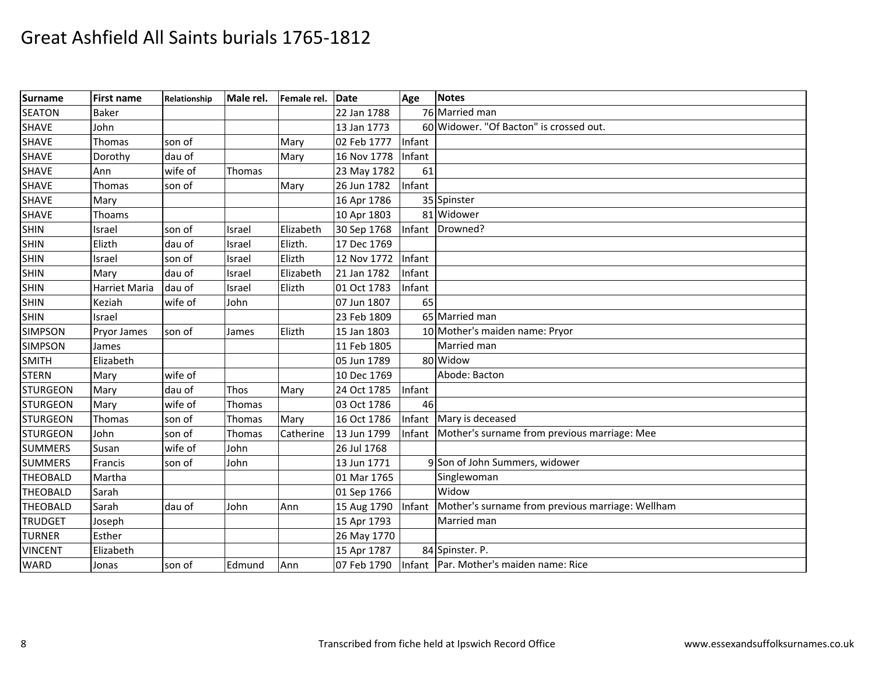| <b>Surname</b>  | <b>First name</b> | Relationship | Male rel. | Female rel. | Date        | Age    | <b>Notes</b>                                     |
|-----------------|-------------------|--------------|-----------|-------------|-------------|--------|--------------------------------------------------|
| <b>SEATON</b>   | Baker             |              |           |             | 22 Jan 1788 |        | 76 Married man                                   |
| <b>SHAVE</b>    | John              |              |           |             | 13 Jan 1773 |        | 60 Widower. "Of Bacton" is crossed out.          |
| <b>SHAVE</b>    | Thomas            | son of       |           | Mary        | 02 Feb 1777 | Infant |                                                  |
| <b>SHAVE</b>    | Dorothy           | dau of       |           | Mary        | 16 Nov 1778 | Infant |                                                  |
| <b>SHAVE</b>    | Ann               | wife of      | Thomas    |             | 23 May 1782 | 61     |                                                  |
| <b>SHAVE</b>    | Thomas            | son of       |           | Mary        | 26 Jun 1782 | Infant |                                                  |
| <b>SHAVE</b>    | Mary              |              |           |             | 16 Apr 1786 |        | 35 Spinster                                      |
| <b>SHAVE</b>    | Thoams            |              |           |             | 10 Apr 1803 |        | 81 Widower                                       |
| <b>SHIN</b>     | Israel            | son of       | Israel    | Elizabeth   | 30 Sep 1768 |        | Infant Drowned?                                  |
| <b>SHIN</b>     | Elizth            | dau of       | Israel    | Elizth.     | 17 Dec 1769 |        |                                                  |
| <b>SHIN</b>     | Israel            | son of       | Israel    | Elizth      | 12 Nov 1772 | Infant |                                                  |
| <b>SHIN</b>     | Mary              | dau of       | Israel    | Elizabeth   | 21 Jan 1782 | Infant |                                                  |
| <b>SHIN</b>     | Harriet Maria     | dau of       | Israel    | Elizth      | 01 Oct 1783 | Infant |                                                  |
| <b>SHIN</b>     | Keziah            | wife of      | John      |             | 07 Jun 1807 | 65     |                                                  |
| <b>SHIN</b>     | Israel            |              |           |             | 23 Feb 1809 |        | 65 Married man                                   |
| <b>SIMPSON</b>  | Pryor James       | son of       | James     | Elizth      | 15 Jan 1803 |        | 10 Mother's maiden name: Pryor                   |
| <b>SIMPSON</b>  | James             |              |           |             | 11 Feb 1805 |        | Married man                                      |
| <b>SMITH</b>    | Elizabeth         |              |           |             | 05 Jun 1789 |        | 80 Widow                                         |
| <b>STERN</b>    | Mary              | wife of      |           |             | 10 Dec 1769 |        | Abode: Bacton                                    |
| <b>STURGEON</b> | Mary              | dau of       | Thos      | Mary        | 24 Oct 1785 | Infant |                                                  |
| <b>STURGEON</b> | Mary              | wife of      | Thomas    |             | 03 Oct 1786 | 46     |                                                  |
| <b>STURGEON</b> | Thomas            | son of       | Thomas    | Mary        | 16 Oct 1786 |        | Infant Mary is deceased                          |
| <b>STURGEON</b> | John              | son of       | Thomas    | Catherine   | 13 Jun 1799 | Infant | Mother's surname from previous marriage: Mee     |
| <b>SUMMERS</b>  | Susan             | wife of      | John      |             | 26 Jul 1768 |        |                                                  |
| <b>SUMMERS</b>  | Francis           | son of       | John      |             | 13 Jun 1771 |        | 9 Son of John Summers, widower                   |
| <b>THEOBALD</b> | Martha            |              |           |             | 01 Mar 1765 |        | Singlewoman                                      |
| <b>THEOBALD</b> | Sarah             |              |           |             | 01 Sep 1766 |        | Widow                                            |
| <b>THEOBALD</b> | Sarah             | dau of       | John      | Ann         | 15 Aug 1790 | Infant | Mother's surname from previous marriage: Wellham |
| <b>TRUDGET</b>  | Joseph            |              |           |             | 15 Apr 1793 |        | Married man                                      |
| <b>TURNER</b>   | Esther            |              |           |             | 26 May 1770 |        |                                                  |
| <b>VINCENT</b>  | Elizabeth         |              |           |             | 15 Apr 1787 |        | 84 Spinster. P.                                  |
| <b>WARD</b>     | Jonas             | son of       | Edmund    | Ann         | 07 Feb 1790 |        | Infant Par. Mother's maiden name: Rice           |